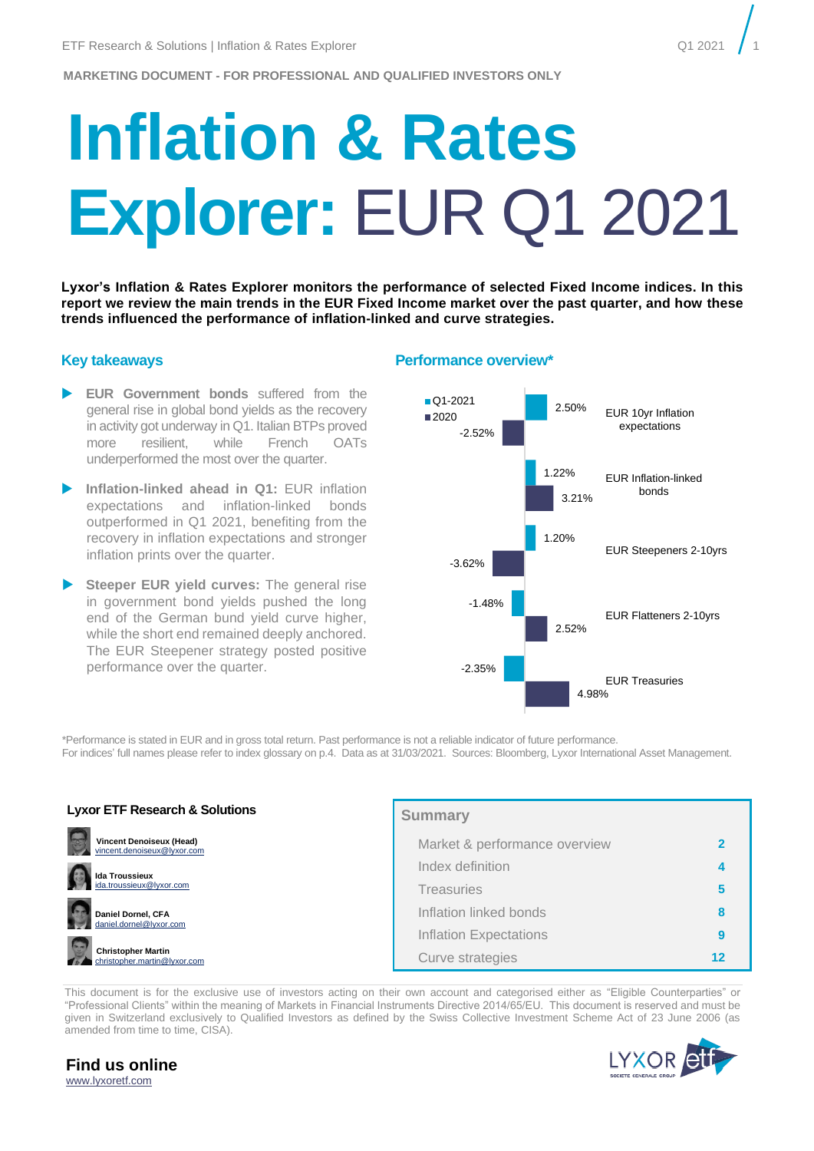# **Inflation & Rates Explorer:** EUR Q1 2021

**Lyxor's Inflation & Rates Explorer monitors the performance of selected Fixed Income indices. In this report we review the main trends in the EUR Fixed Income market over the past quarter, and how these trends influenced the performance of inflation-linked and curve strategies.** 

- **EUR Government bonds** suffered from the general rise in global bond yields as the recovery in activity got underway in Q1. Italian BTPs proved more resilient, while French OATs underperformed the most over the quarter.
- **Inflation-linked ahead in Q1:** EUR inflation expectations and inflation-linked bonds outperformed in Q1 2021, benefiting from the recovery in inflation expectations and stronger inflation prints over the quarter.
- **Steeper EUR yield curves:** The general rise in government bond yields pushed the long end of the German bund yield curve higher, while the short end remained deeply anchored. The EUR Steepener strategy posted positive performance over the quarter.

#### **Key takeaways Performance overview\***



\*Performance is stated in EUR and in gross total return. Past performance is not a reliable indicator of future performance.

For indices' full names please refer to index glossary on p.4. Data as at 31/03/2021. Sources: Bloomberg, Lyxor International Asset Management.

| <b>Lyxor ETF Research &amp; Solutions</b>                      | <b>Summary</b>                |  |  |  |  |  |
|----------------------------------------------------------------|-------------------------------|--|--|--|--|--|
| <b>Vincent Denoiseux (Head)</b><br>vincent.denoiseux@lvxor.com | Market & performance overview |  |  |  |  |  |
| $\Omega$<br><b>Ida Troussieux</b>                              | Index definition              |  |  |  |  |  |
| ida.troussieux@lyxor.com                                       | <b>Treasuries</b>             |  |  |  |  |  |
| G<br>Daniel Dornel, CFA<br>daniel.dornel@lyxor.com             | Inflation linked bonds        |  |  |  |  |  |
|                                                                | <b>Inflation Expectations</b> |  |  |  |  |  |
| <b>Christopher Martin</b><br>christopher.martin@lyxor.com      | Curve strategies              |  |  |  |  |  |

This document is for the exclusive use of investors acting on their own account and categorised either as "Eligible Counterparties" or "Professional Clients" within the meaning of Markets in Financial Instruments Directive 2014/65/EU. This document is reserved and must be given in Switzerland exclusively to Qualified Investors as defined by the Swiss Collective Investment Scheme Act of 23 June 2006 (as amended from time to time, CISA).



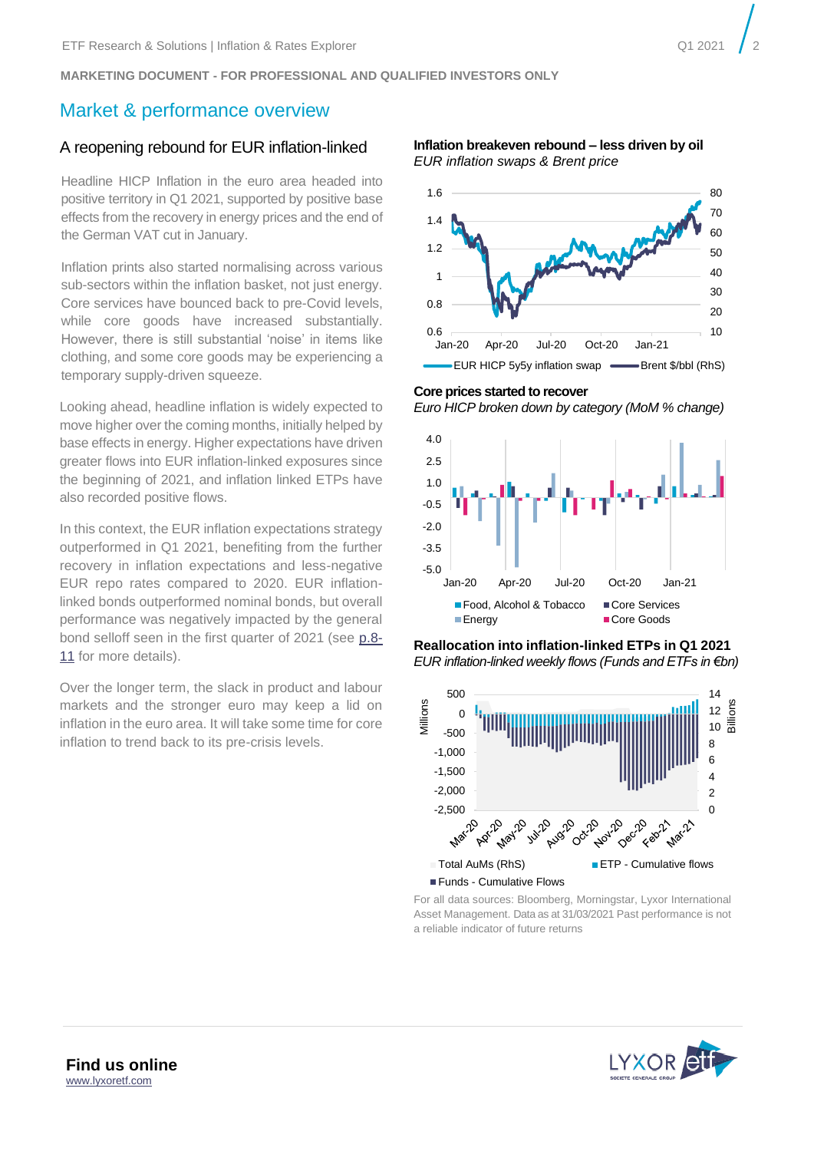# <span id="page-1-0"></span>Market & performance overview

#### A reopening rebound for EUR inflation-linked

Headline HICP Inflation in the euro area headed into positive territory in Q1 2021, supported by positive base effects from the recovery in energy prices and the end of the German VAT cut in January.

Inflation prints also started normalising across various sub-sectors within the inflation basket, not just energy. Core services have bounced back to pre-Covid levels, while core goods have increased substantially. However, there is still substantial 'noise' in items like clothing, and some core goods may be experiencing a temporary supply-driven squeeze.

Looking ahead, headline inflation is widely expected to move higher over the coming months, initially helped by base effects in energy. Higher expectations have driven greater flows into EUR inflation-linked exposures since the beginning of 2021, and inflation linked ETPs have also recorded positive flows.

In this context, the EUR inflation expectations strategy outperformed in Q1 2021, benefiting from the further recovery in inflation expectations and less-negative EUR repo rates compared to 2020. EUR inflationlinked bonds outperformed nominal bonds, but overall performance was negatively impacted by the general bond selloff seen in the first quarter of 2021 (see p[.8-](#page-7-0) [11](#page-7-0) for more details).

Over the longer term, the slack in product and labour markets and the stronger euro may keep a lid on inflation in the euro area. It will take some time for core inflation to trend back to its pre-crisis levels.

**Inflation breakeven rebound – less driven by oil** *EUR inflation swaps & Brent price*



**Core prices started to recover** *Euro HICP broken down by category (MoM % change)*







For all data sources: Bloomberg, Morningstar, Lyxor International Asset Management. Data as at 31/03/2021 Past performance is not a reliable indicator of future returns

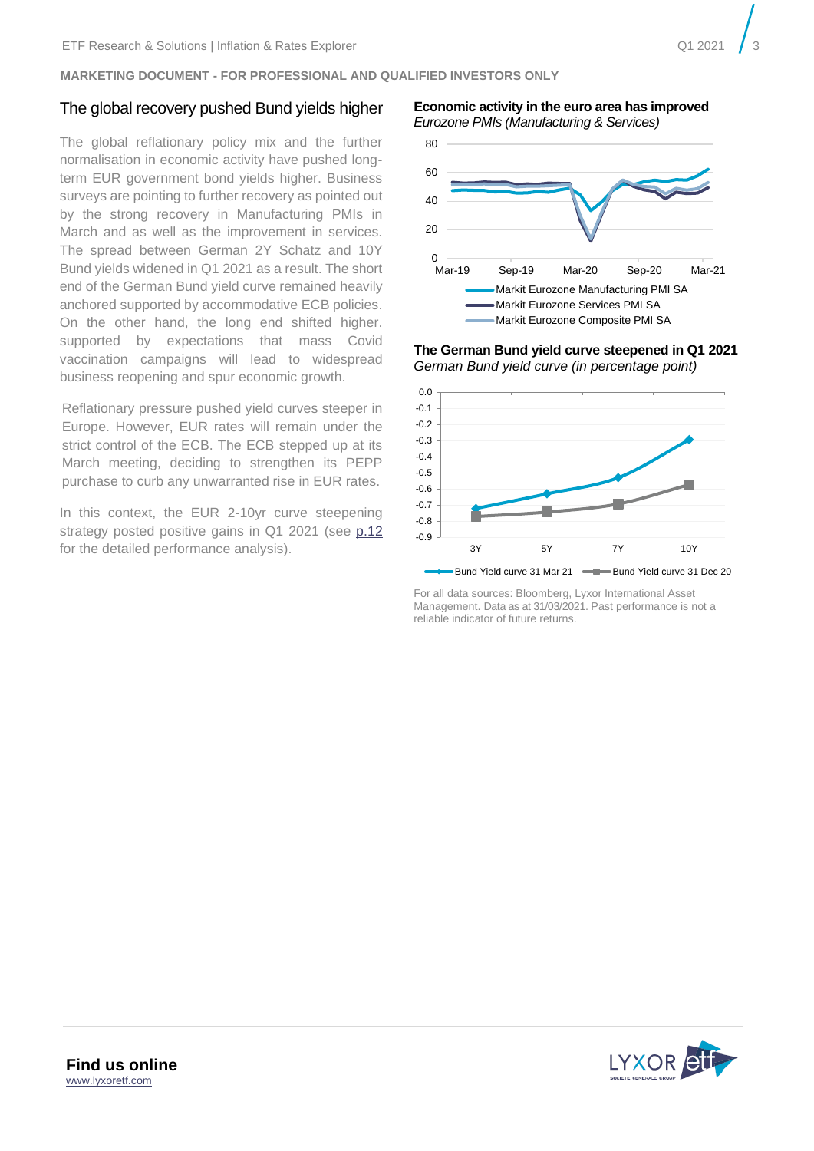## The global recovery pushed Bund yields higher

The global reflationary policy mix and the further normalisation in economic activity have pushed longterm EUR government bond yields higher. Business surveys are pointing to further recovery as pointed out by the strong recovery in Manufacturing PMIs in March and as well as the improvement in services. The spread between German 2Y Schatz and 10Y Bund yields widened in Q1 2021 as a result. The short end of the German Bund yield curve remained heavily anchored supported by accommodative ECB policies. On the other hand, the long end shifted higher. supported by expectations that mass Covid vaccination campaigns will lead to widespread business reopening and spur economic growth.

Reflationary pressure pushed yield curves steeper in Europe. However, EUR rates will remain under the strict control of the ECB. The ECB stepped up at its March meeting, deciding to strengthen its PEPP purchase to curb any unwarranted rise in EUR rates.

In this context, the EUR 2-10yr curve steepening strategy posted positive gains in Q1 2021 (see [p.12](#page-11-0) for the detailed performance analysis).

**Economic activity in the euro area has improved** *Eurozone PMIs (Manufacturing & Services)*



**The German Bund yield curve steepened in Q1 2021** *German Bund yield curve (in percentage point)*



For all data sources: Bloomberg, Lyxor International Asset Management. Data as at 31/03/2021. Past performance is not a reliable indicator of future returns.

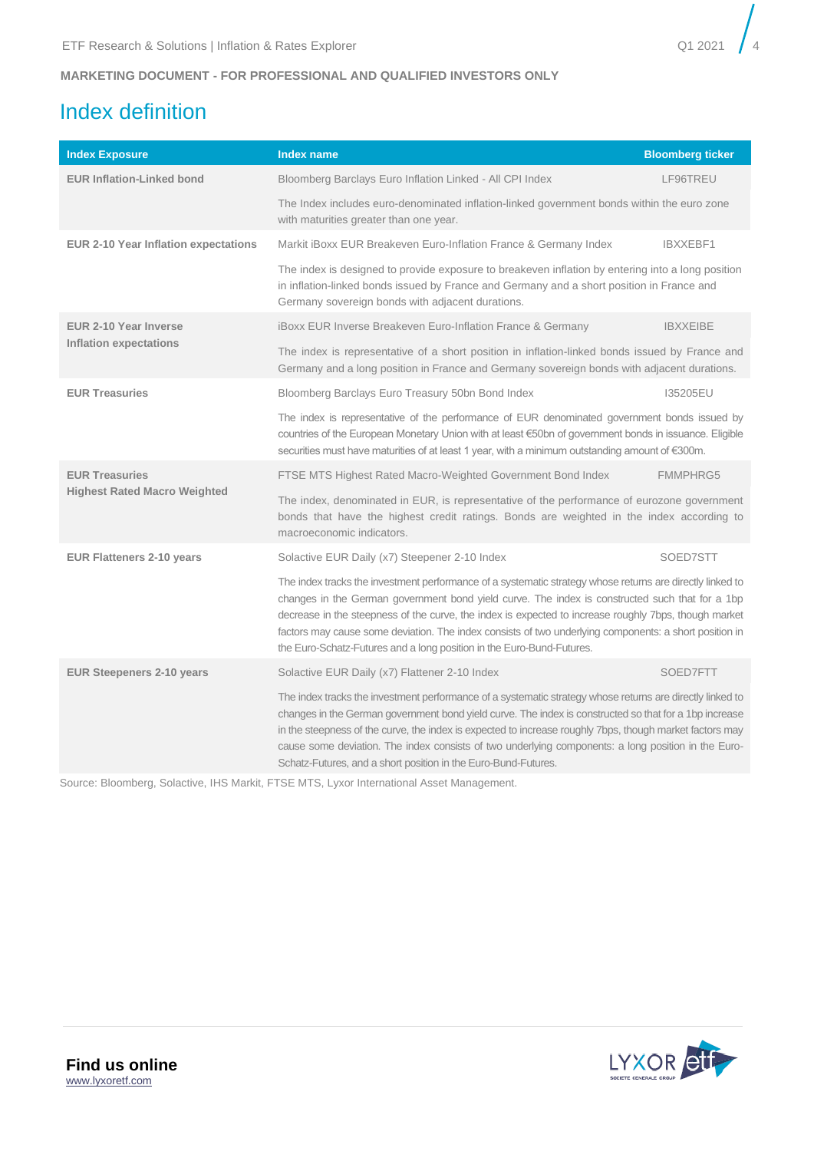# <span id="page-3-0"></span>Index definition

| <b>Index Exposure</b>                       | <b>Index name</b>                                                                                                                                                                                                                                                                                                                                                                                                                                                                                        | <b>Bloomberg ticker</b> |  |  |  |  |  |
|---------------------------------------------|----------------------------------------------------------------------------------------------------------------------------------------------------------------------------------------------------------------------------------------------------------------------------------------------------------------------------------------------------------------------------------------------------------------------------------------------------------------------------------------------------------|-------------------------|--|--|--|--|--|
| <b>EUR Inflation-Linked bond</b>            | Bloomberg Barclays Euro Inflation Linked - All CPI Index                                                                                                                                                                                                                                                                                                                                                                                                                                                 | LF96TREU                |  |  |  |  |  |
|                                             | The Index includes euro-denominated inflation-linked government bonds within the euro zone<br>with maturities greater than one year.                                                                                                                                                                                                                                                                                                                                                                     |                         |  |  |  |  |  |
| <b>EUR 2-10 Year Inflation expectations</b> | Markit iBoxx EUR Breakeven Euro-Inflation France & Germany Index                                                                                                                                                                                                                                                                                                                                                                                                                                         | IBXXEBF1                |  |  |  |  |  |
|                                             | The index is designed to provide exposure to breakeven inflation by entering into a long position<br>in inflation-linked bonds issued by France and Germany and a short position in France and<br>Germany sovereign bonds with adjacent durations.                                                                                                                                                                                                                                                       |                         |  |  |  |  |  |
| EUR 2-10 Year Inverse                       | iBoxx EUR Inverse Breakeven Euro-Inflation France & Germany                                                                                                                                                                                                                                                                                                                                                                                                                                              | <b>IBXXEIBE</b>         |  |  |  |  |  |
| <b>Inflation expectations</b>               | The index is representative of a short position in inflation-linked bonds issued by France and<br>Germany and a long position in France and Germany sovereign bonds with adjacent durations.                                                                                                                                                                                                                                                                                                             |                         |  |  |  |  |  |
| <b>EUR Treasuries</b>                       | Bloomberg Barclays Euro Treasury 50bn Bond Index                                                                                                                                                                                                                                                                                                                                                                                                                                                         | 135205EU                |  |  |  |  |  |
|                                             | The index is representative of the performance of EUR denominated government bonds issued by<br>countries of the European Monetary Union with at least €50bn of government bonds in issuance. Eligible<br>securities must have maturities of at least 1 year, with a minimum outstanding amount of €300m.                                                                                                                                                                                                |                         |  |  |  |  |  |
| <b>EUR Treasuries</b>                       | FTSE MTS Highest Rated Macro-Weighted Government Bond Index                                                                                                                                                                                                                                                                                                                                                                                                                                              | <b>FMMPHRG5</b>         |  |  |  |  |  |
| <b>Highest Rated Macro Weighted</b>         | The index, denominated in EUR, is representative of the performance of eurozone government<br>bonds that have the highest credit ratings. Bonds are weighted in the index according to<br>macroeconomic indicators.                                                                                                                                                                                                                                                                                      |                         |  |  |  |  |  |
| <b>EUR Flatteners 2-10 years</b>            | Solactive EUR Daily (x7) Steepener 2-10 Index                                                                                                                                                                                                                                                                                                                                                                                                                                                            | SOED7STT                |  |  |  |  |  |
|                                             | The index tracks the investment performance of a systematic strategy whose returns are directly linked to<br>changes in the German government bond yield curve. The index is constructed such that for a 1bp<br>decrease in the steepness of the curve, the index is expected to increase roughly 7bps, though market<br>factors may cause some deviation. The index consists of two underlying components: a short position in<br>the Euro-Schatz-Futures and a long position in the Euro-Bund-Futures. |                         |  |  |  |  |  |
| <b>EUR Steepeners 2-10 years</b>            | Solactive EUR Daily (x7) Flattener 2-10 Index<br>SOED7FTT                                                                                                                                                                                                                                                                                                                                                                                                                                                |                         |  |  |  |  |  |
|                                             | The index tracks the investment performance of a systematic strategy whose returns are directly linked to<br>changes in the German government bond yield curve. The index is constructed so that for a 1bp increase<br>in the steepness of the curve, the index is expected to increase roughly 7bps, though market factors may<br>cause some deviation. The index consists of two underlying components: a long position in the Euro-<br>Schatz-Futures, and a short position in the Euro-Bund-Futures. |                         |  |  |  |  |  |

Source: Bloomberg, Solactive, IHS Markit, FTSE MTS, Lyxor International Asset Management.

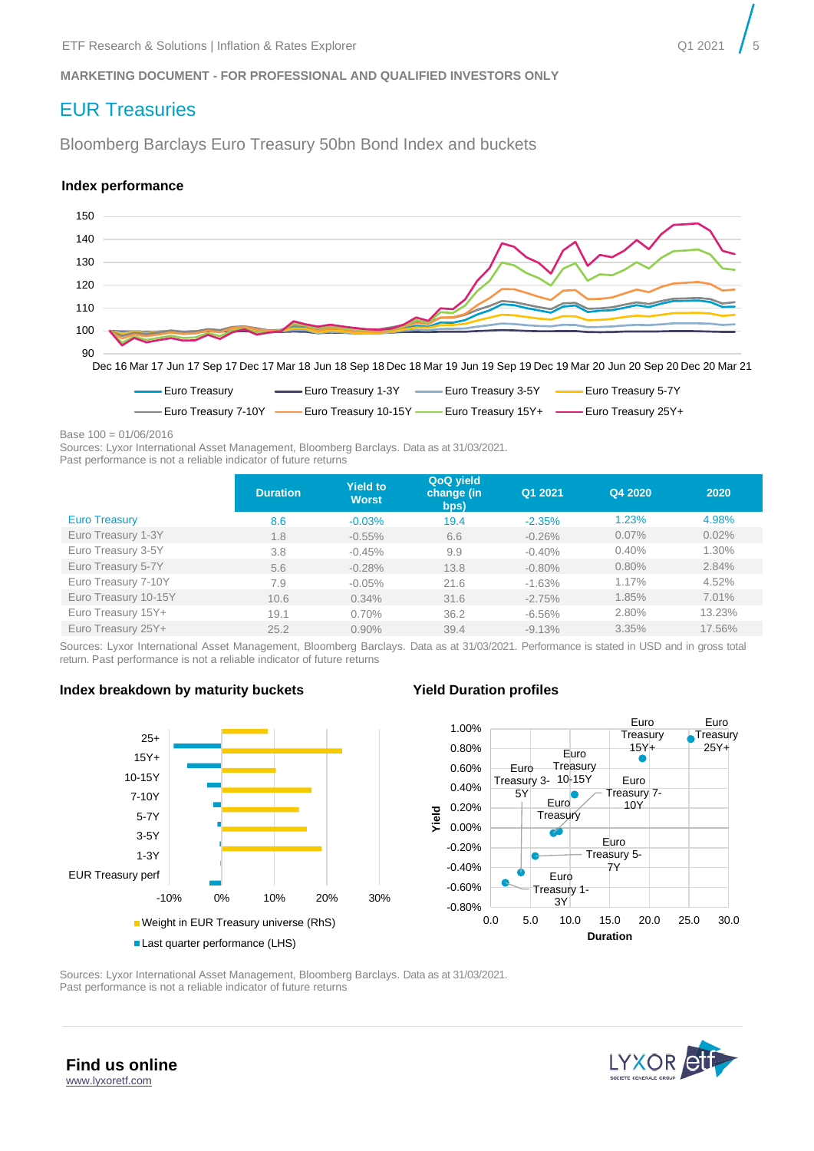# <span id="page-4-0"></span>EUR Treasuries

Bloomberg Barclays Euro Treasury 50bn Bond Index and buckets

#### **Index performance**



Base 100 = 01/06/2016

Sources: Lyxor International Asset Management, Bloomberg Barclays. Data as at 31/03/2021.

Past performance is not a reliable indicator of future returns

|                      | <b>Duration</b> | <b>Yield to</b><br><b>Worst</b> | QoQ yield<br>change (in<br>bps) | Q1 2021   | Q4 2020 | 2020   |
|----------------------|-----------------|---------------------------------|---------------------------------|-----------|---------|--------|
| <b>Euro Treasury</b> | 8.6             | $-0.03%$                        | 19.4                            | $-2.35%$  | 1.23%   | 4.98%  |
| Euro Treasury 1-3Y   | 1.8             | $-0.55%$                        | 6.6                             | $-0.26%$  | 0.07%   | 0.02%  |
| Euro Treasury 3-5Y   | 3.8             | $-0.45%$                        | 9.9                             | $-0.40%$  | 0.40%   | 1.30%  |
| Euro Treasury 5-7Y   | 5.6             | $-0.28%$                        | 13.8                            | $-0.80\%$ | 0.80%   | 2.84%  |
| Euro Treasury 7-10Y  | 7.9             | $-0.05%$                        | 21.6                            | $-1.63%$  | 1.17%   | 4.52%  |
| Euro Treasury 10-15Y | 10.6            | 0.34%                           | 31.6                            | $-2.75%$  | 1.85%   | 7.01%  |
| Euro Treasury 15Y+   | 19.1            | 0.70%                           | 36.2                            | $-6.56\%$ | 2.80%   | 13.23% |
| Euro Treasury 25Y+   | 25.2            | $0.90\%$                        | 39.4                            | $-9.13%$  | 3.35%   | 17.56% |

Sources: Lyxor International Asset Management, Bloomberg Barclays. Data as at 31/03/2021. Performance is stated in USD and in gross total return. Past performance is not a reliable indicator of future returns

#### **Index breakdown by maturity buckets Yield Duration profiles**





Sources: Lyxor International Asset Management, Bloomberg Barclays. Data as at 31/03/2021. Past performance is not a reliable indicator of future returns



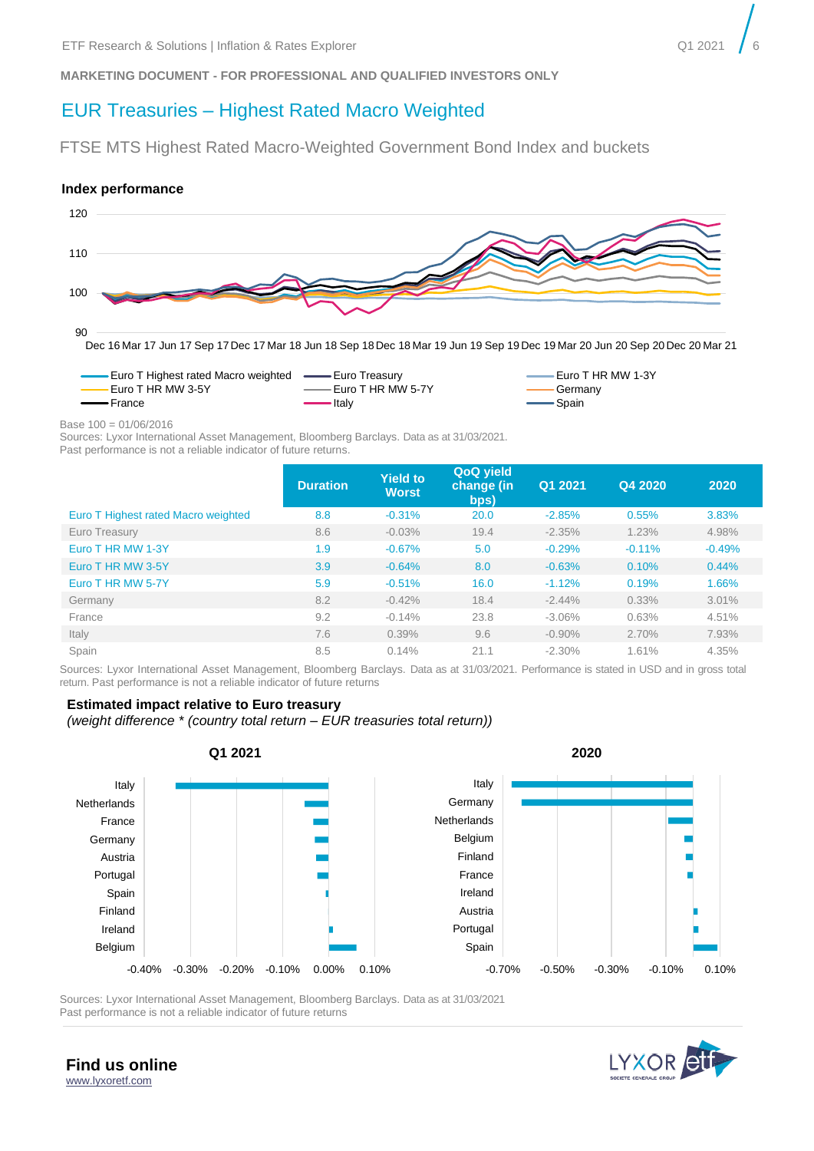# EUR Treasuries – Highest Rated Macro Weighted

FTSE MTS Highest Rated Macro-Weighted Government Bond Index and buckets

#### **Index performance**





Base 100 = 01/06/2016

Sources: Lyxor International Asset Management, Bloomberg Barclays. Data as at 31/03/2021. Past performance is not a reliable indicator of future returns.

|                                     | <b>Duration</b> | <b>Yield to</b><br><b>Worst</b> | QoQ yield<br>change (in<br>bps) | Q1 2021   | Q4 2020  | 2020     |
|-------------------------------------|-----------------|---------------------------------|---------------------------------|-----------|----------|----------|
| Euro T Highest rated Macro weighted | 8.8             | $-0.31%$                        | 20.0                            | $-2.85%$  | 0.55%    | 3.83%    |
| Euro Treasury                       | 8.6             | $-0.03%$                        | 19.4                            | $-2.35%$  | 1.23%    | 4.98%    |
| Euro T HR MW 1-3Y                   | 1.9             | $-0.67%$                        | 5.0                             | $-0.29%$  | $-0.11%$ | $-0.49%$ |
| Euro T HR MW 3-5Y                   | 3.9             | $-0.64%$                        | 8.0                             | $-0.63%$  | 0.10%    | 0.44%    |
| Euro T HR MW 5-7Y                   | 5.9             | $-0.51%$                        | 16.0                            | $-1.12%$  | 0.19%    | 1.66%    |
| Germany                             | 8.2             | $-0.42%$                        | 18.4                            | $-2.44%$  | $0.33\%$ | 3.01%    |
| France                              | 9.2             | $-0.14%$                        | 23.8                            | $-3.06\%$ | 0.63%    | 4.51%    |
| Italy                               | 7.6             | 0.39%                           | 9.6                             | $-0.90\%$ | 2.70%    | 7.93%    |
| Spain                               | 8.5             | 0.14%                           | 21.1                            | $-2.30%$  | 1.61%    | 4.35%    |

Sources: Lyxor International Asset Management, Bloomberg Barclays. Data as at 31/03/2021. Performance is stated in USD and in gross total return. Past performance is not a reliable indicator of future returns

#### **Estimated impact relative to Euro treasury**

*(weight difference \* (country total return – EUR treasuries total return))*



Sources: Lyxor International Asset Management, Bloomberg Barclays. Data as at 31/03/2021 Past performance is not a reliable indicator of future returns

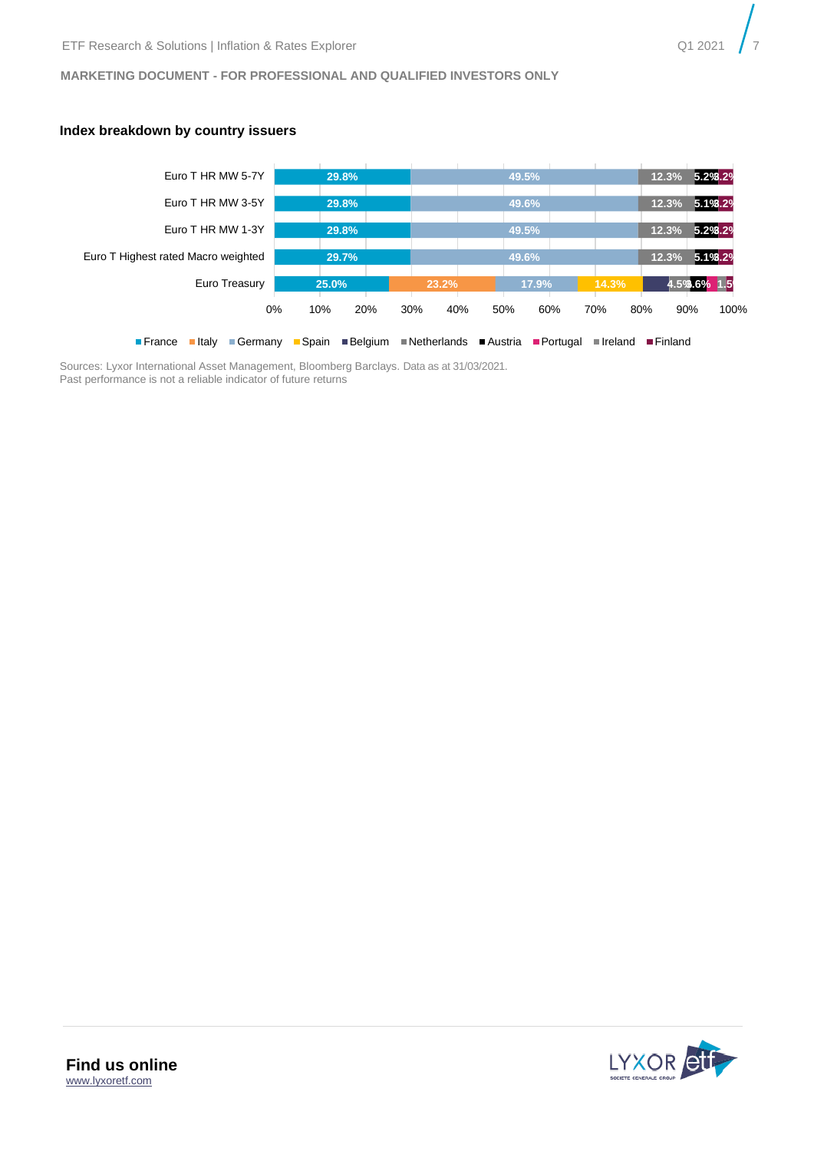#### **Index breakdown by country issuers**



Sources: Lyxor International Asset Management, Bloomberg Barclays. Data as at 31/03/2021. Past performance is not a reliable indicator of future returns

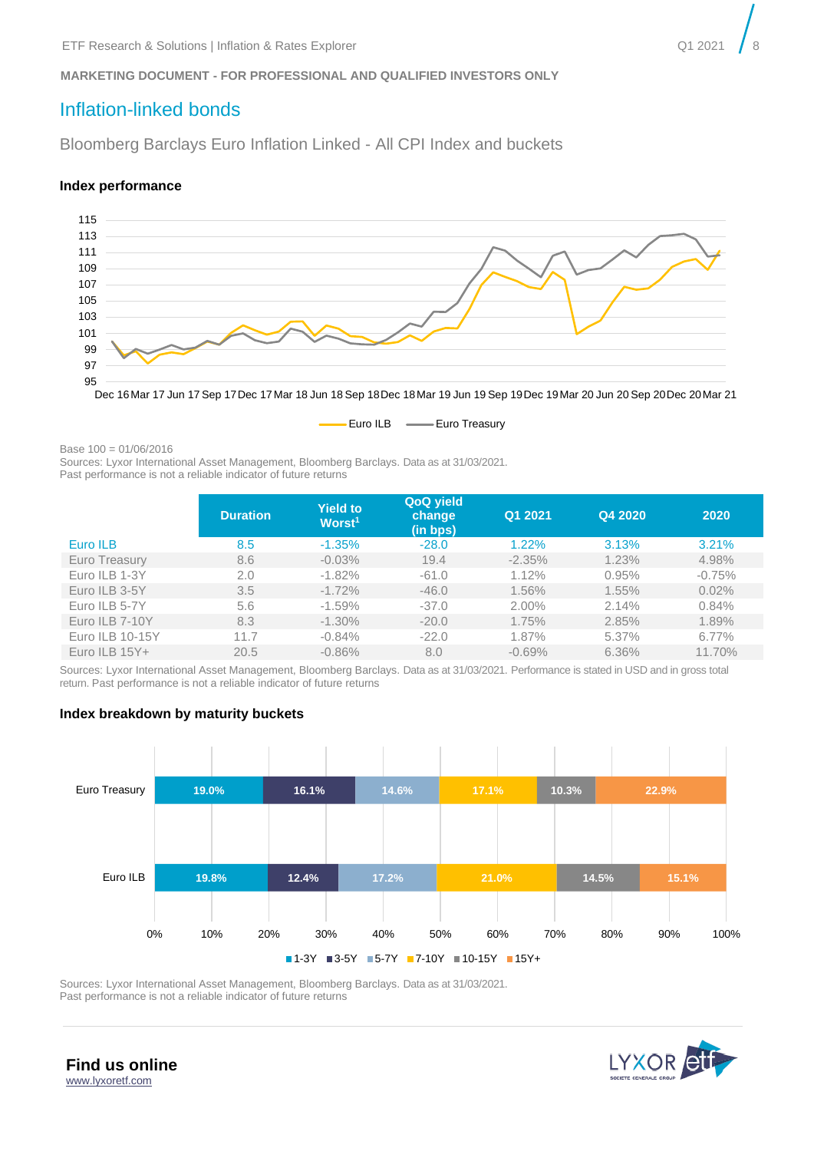# <span id="page-7-0"></span>Inflation-linked bonds

Bloomberg Barclays Euro Inflation Linked - All CPI Index and buckets

#### **Index performance**





Base 100 = 01/06/2016

Sources: Lyxor International Asset Management, Bloomberg Barclays. Data as at 31/03/2021.

Past performance is not a reliable indicator of future returns

|                 | <b>Duration</b> | <b>Yield to</b><br>Worst <sup>1</sup> | QoQ yield<br>change<br>(in bps) | Q1 2021  | Q4 2020 | 2020     |
|-----------------|-----------------|---------------------------------------|---------------------------------|----------|---------|----------|
| Euro ILB        | 8.5             | $-1.35%$                              | $-28.0$                         | 1.22%    | 3.13%   | 3.21%    |
| Euro Treasury   | 8.6             | $-0.03\%$                             | 19.4                            | $-2.35%$ | 1.23%   | 4.98%    |
| Euro ILB 1-3Y   | 2.0             | $-1.82%$                              | $-61.0$                         | 1.12%    | 0.95%   | $-0.75%$ |
| Euro ILB 3-5Y   | 3.5             | $-1.72\%$                             | $-46.0$                         | 1.56%    | 1.55%   | 0.02%    |
| Euro ILB 5-7Y   | 5.6             | $-1.59%$                              | $-37.0$                         | 2.00%    | 2.14%   | 0.84%    |
| Euro ILB 7-10Y  | 8.3             | $-1.30\%$                             | $-20.0$                         | 1.75%    | 2.85%   | 1.89%    |
| Euro ILB 10-15Y | 11.7            | $-0.84%$                              | $-22.0$                         | 1.87%    | 5.37%   | $6.77\%$ |
| Euro ILB $15Y+$ | 20.5            | $-0.86%$                              | 8.0                             | $-0.69%$ | 6.36%   | 11.70%   |

Sources: Lyxor International Asset Management, Bloomberg Barclays. Data as at 31/03/2021. Performance is stated in USD and in gross total return. Past performance is not a reliable indicator of future returns

#### **Index breakdown by maturity buckets**



Sources: Lyxor International Asset Management, Bloomberg Barclays. Data as at 31/03/2021. Past performance is not a reliable indicator of future returns

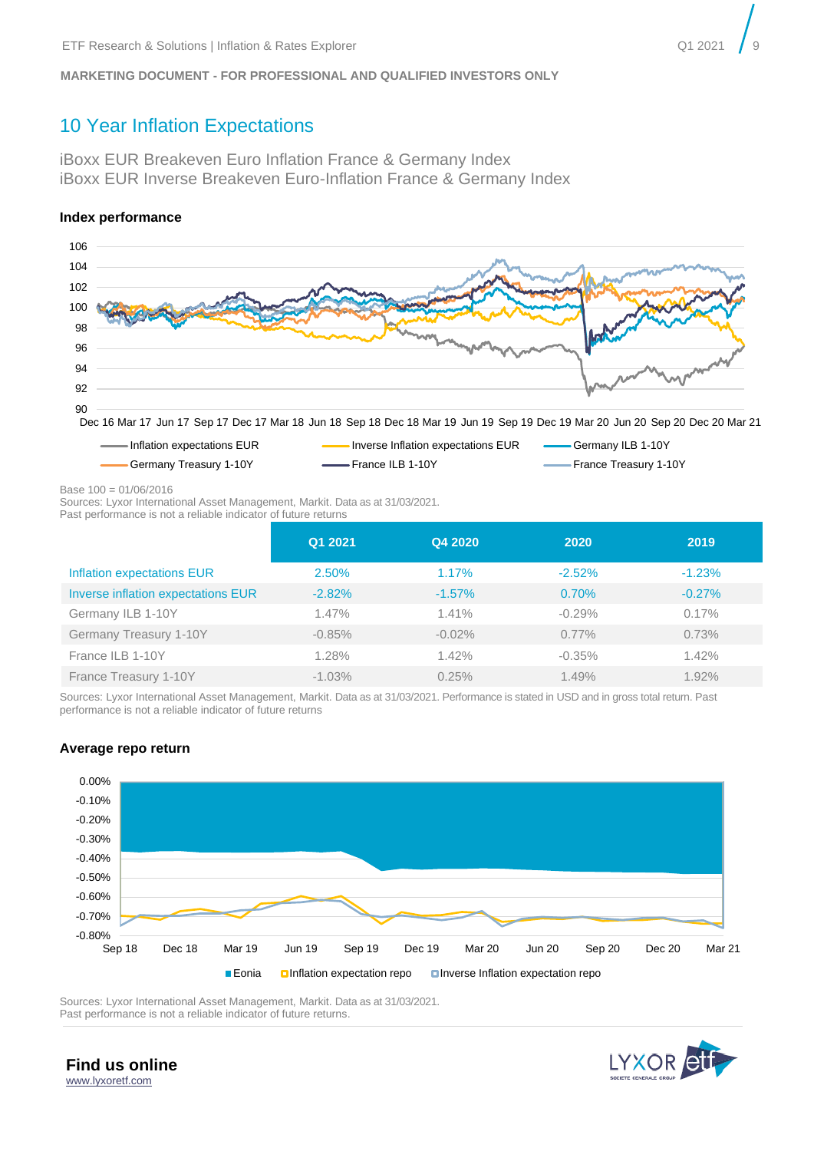# <span id="page-8-0"></span>10 Year Inflation Expectations

iBoxx EUR Breakeven Euro Inflation France & Germany Index iBoxx EUR Inverse Breakeven Euro-Inflation France & Germany Index

#### **Index performance**



Dec 16 Mar 17 Jun 17 Sep 17 Dec 17 Mar 18 Jun 18 Sep 18 Dec 18 Mar 19 Jun 19 Sep 19 Dec 19 Mar 20 Jun 20 Sep 20 Dec 20 Mar 21



Base 100 = 01/06/2016

Sources: Lyxor International Asset Management, Markit. Data as at 31/03/2021.

Past performance is not a reliable indicator of future returns

|                                    | Q1 2021  | Q4 2020   | 2020     | 2019     |
|------------------------------------|----------|-----------|----------|----------|
| Inflation expectations EUR         | 2.50%    | 1.17%     | $-2.52%$ | $-1.23%$ |
| Inverse inflation expectations EUR | $-2.82%$ | $-1.57\%$ | 0.70%    | $-0.27%$ |
| Germany ILB 1-10Y                  | 1.47%    | $1.41\%$  | $-0.29%$ | 0.17%    |
| Germany Treasury 1-10Y             | $-0.85%$ | $-0.02%$  | $0.77\%$ | 0.73%    |
| France ILB 1-10Y                   | 1.28%    | 1.42%     | $-0.35%$ | 1.42%    |
| France Treasury 1-10Y              | $-1.03%$ | 0.25%     | 1.49%    | 1.92%    |

Sources: Lyxor International Asset Management, Markit. Data as at 31/03/2021. Performance is stated in USD and in gross total return. Past performance is not a reliable indicator of future returns

#### **Average repo return**



Sources: Lyxor International Asset Management, Markit. Data as at 31/03/2021. Past performance is not a reliable indicator of future returns.

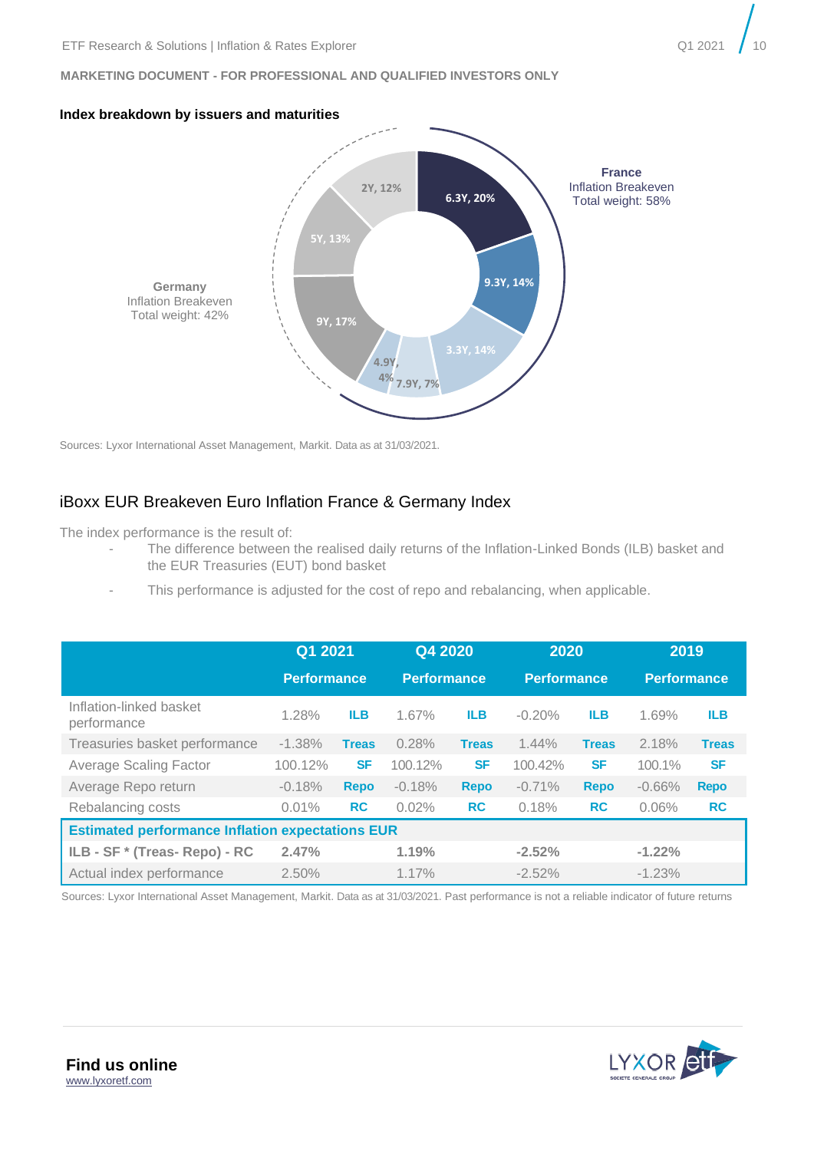





Sources: Lyxor International Asset Management, Markit. Data as at 31/03/2021.

## iBoxx EUR Breakeven Euro Inflation France & Germany Index

The index performance is the result of:

- The difference between the realised daily returns of the Inflation-Linked Bonds (ILB) basket and the EUR Treasuries (EUT) bond basket
- This performance is adjusted for the cost of repo and rebalancing, when applicable.

|                                        | Q1 2021<br><b>Performance</b>                           |              | Q4 2020<br><b>Performance</b> |              | 2020<br><b>Performance</b> |              | 2019<br><b>Performance</b> |              |  |  |
|----------------------------------------|---------------------------------------------------------|--------------|-------------------------------|--------------|----------------------------|--------------|----------------------------|--------------|--|--|
| Inflation-linked basket<br>performance | 1.28%                                                   | <b>ILB</b>   | 1.67%                         | <b>ILB</b>   | $-0.20%$                   | <b>ILB</b>   | 1.69%                      | <b>ILB</b>   |  |  |
| Treasuries basket performance          | $-1.38%$                                                | <b>Treas</b> | 0.28%                         | <b>Treas</b> | 1.44%                      | <b>Treas</b> | 2.18%                      | <b>Treas</b> |  |  |
| <b>Average Scaling Factor</b>          | 100.12%                                                 | <b>SF</b>    | 100.12%                       | <b>SF</b>    | 100.42%                    | <b>SF</b>    | 100.1%                     | <b>SF</b>    |  |  |
| Average Repo return                    | $-0.18%$                                                | <b>Repo</b>  | $-0.18%$                      | <b>Repo</b>  | $-0.71%$                   | <b>Repo</b>  | $-0.66%$                   | <b>Repo</b>  |  |  |
| Rebalancing costs                      | 0.01%                                                   | <b>RC</b>    | 0.02%                         | <b>RC</b>    | 0.18%                      | <b>RC</b>    | 0.06%                      | <b>RC</b>    |  |  |
|                                        | <b>Estimated performance Inflation expectations EUR</b> |              |                               |              |                            |              |                            |              |  |  |
| ILB - SF * (Treas- Repo) - RC          | 2.47%                                                   |              | 1.19%                         |              | $-2.52%$                   |              | $-1.22%$                   |              |  |  |
| Actual index performance               | 2.50%                                                   |              | 1.17%                         |              | $-2.52%$                   |              | $-1.23%$                   |              |  |  |

Sources: Lyxor International Asset Management, Markit. Data as at 31/03/2021. Past performance is not a reliable indicator of future returns

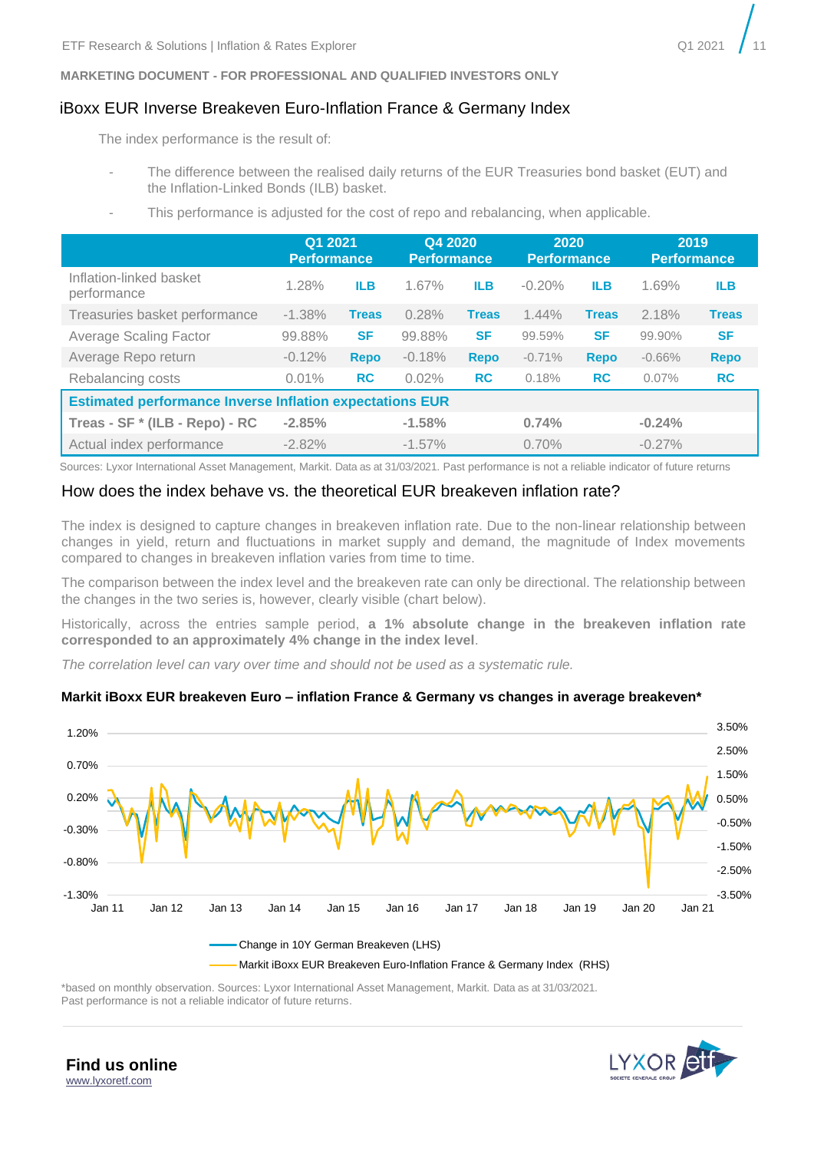### iBoxx EUR Inverse Breakeven Euro-Inflation France & Germany Index

The index performance is the result of:

- The difference between the realised daily returns of the EUR Treasuries bond basket (EUT) and the Inflation-Linked Bonds (ILB) basket.
- This performance is adjusted for the cost of repo and rebalancing, when applicable.

|                                                                 | Q1 2021<br><b>Performance</b> |              | Q4 2020<br><b>Performance</b> |              | 2020<br><b>Performance</b> |              | 2019<br><b>Performance</b> |              |  |  |
|-----------------------------------------------------------------|-------------------------------|--------------|-------------------------------|--------------|----------------------------|--------------|----------------------------|--------------|--|--|
| Inflation-linked basket<br>performance                          | 1.28%                         | <b>ILB</b>   | 1.67%                         | <b>ILB</b>   | $-0.20%$                   | <b>ILB</b>   | 1.69%                      | <b>ILB</b>   |  |  |
| Treasuries basket performance                                   | $-1.38%$                      | <b>Treas</b> | 0.28%                         | <b>Treas</b> | 1.44%                      | <b>Treas</b> | 2.18%                      | <b>Treas</b> |  |  |
| <b>Average Scaling Factor</b>                                   | 99.88%                        | <b>SF</b>    | 99.88%                        | <b>SF</b>    | 99.59%                     | <b>SF</b>    | 99.90%                     | <b>SF</b>    |  |  |
| Average Repo return                                             | $-0.12%$                      | <b>Repo</b>  | $-0.18%$                      | Repo         | $-0.71%$                   | <b>Repo</b>  | $-0.66%$                   | <b>Repo</b>  |  |  |
| Rebalancing costs                                               | 0.01%                         | <b>RC</b>    | 0.02%                         | <b>RC</b>    | 0.18%                      | <b>RC</b>    | 0.07%                      | <b>RC</b>    |  |  |
| <b>Estimated performance Inverse Inflation expectations EUR</b> |                               |              |                               |              |                            |              |                            |              |  |  |
| Treas - SF * (ILB - Repo) - RC                                  | $-2.85%$                      |              | $-1.58%$                      |              | 0.74%                      |              | $-0.24%$                   |              |  |  |
| Actual index performance                                        | $-2.82%$                      |              | $-1.57\%$                     |              | 0.70%                      |              | $-0.27%$                   |              |  |  |

Sources: Lyxor International Asset Management, Markit. Data as at 31/03/2021. Past performance is not a reliable indicator of future returns

#### How does the index behave vs. the theoretical EUR breakeven inflation rate?

The index is designed to capture changes in breakeven inflation rate. Due to the non-linear relationship between changes in yield, return and fluctuations in market supply and demand, the magnitude of Index movements compared to changes in breakeven inflation varies from time to time.

The comparison between the index level and the breakeven rate can only be directional. The relationship between the changes in the two series is, however, clearly visible (chart below).

Historically, across the entries sample period, **a 1% absolute change in the breakeven inflation rate corresponded to an approximately 4% change in the index level**.

*The correlation level can vary over time and should not be used as a systematic rule.* 

#### **Markit iBoxx EUR breakeven Euro – inflation France & Germany vs changes in average breakeven\***



\*based on monthly observation. Sources: Lyxor International Asset Management, Markit. Data as at 31/03/2021. Past performance is not a reliable indicator of future returns.



**Find us online** [www.lyxoretf.com](file://///EUR.MSD.WORLD.SOCGEN/groupdir/SGCIB/FR/LYXOR-ETF-RESSOL/research-and-solutions/1.publications/6.tactical-expert-view/Coronavirus/www.lyxoretf.com)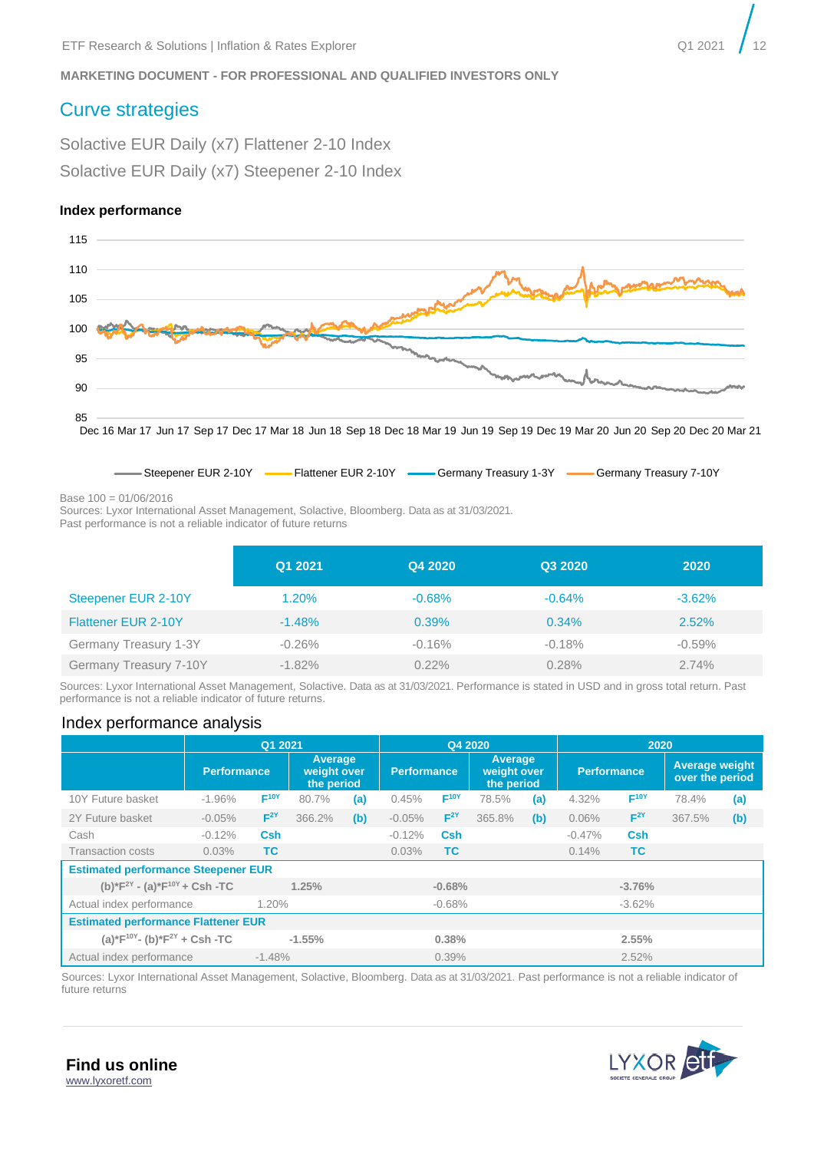# <span id="page-11-0"></span>Curve strategies

Solactive EUR Daily (x7) Flattener 2-10 Index Solactive EUR Daily (x7) Steepener 2-10 Index

#### **Index performance**



Base 100 = 01/06/2016

Sources: Lyxor International Asset Management, Solactive, Bloomberg. Data as at 31/03/2021.

Past performance is not a reliable indicator of future returns

|                            | Q1 2021   | Q4 2020  | Q3 2020  | 2020      |
|----------------------------|-----------|----------|----------|-----------|
| Steepener EUR 2-10Y        | 1.20%     | $-0.68%$ | $-0.64%$ | $-3.62%$  |
| <b>Flattener EUR 2-10Y</b> | $-1.48%$  | 0.39%    | $0.34\%$ | 2.52%     |
| Germany Treasury 1-3Y      | $-0.26%$  | $-0.16%$ | $-0.18%$ | $-0.59\%$ |
| Germany Treasury 7-10Y     | $-1.82\%$ | $0.22\%$ | 0.28%    | 2.74%     |

Steepener EUR 2-10Y **Filly Flattener EUR 2-10Y**  Germany Treasury 1-3Y **-** Germany Treasury 7-10Y

Sources: Lyxor International Asset Management, Solactive. Data as at 31/03/2021. Performance is stated in USD and in gross total return. Past performance is not a reliable indicator of future returns.

#### Index performance analysis

|                                                      | Q1 2021            |                  |                                      |     | Q4 2020            |                  |                                      | 2020 |                    |                  |                                          |     |
|------------------------------------------------------|--------------------|------------------|--------------------------------------|-----|--------------------|------------------|--------------------------------------|------|--------------------|------------------|------------------------------------------|-----|
|                                                      | <b>Performance</b> |                  | Average<br>weight over<br>the period |     | <b>Performance</b> |                  | Average<br>weight over<br>the period |      | <b>Performance</b> |                  | <b>Average weight</b><br>over the period |     |
| 10Y Future basket                                    | $-1.96%$           | F <sup>10Y</sup> | 80.7%                                | (a) | 0.45%              | F <sup>10Y</sup> | 78.5%                                | (a)  | 4.32%              | F <sup>10Y</sup> | 78.4%                                    | (a) |
| 2Y Future basket                                     | $-0.05%$           | $F^{2Y}$         | 366.2%                               | (b) | $-0.05%$           | $F^{2Y}$         | 365.8%                               | (b)  | 0.06%              | $F^{2Y}$         | 367.5%                                   | (b) |
| Cash                                                 | $-0.12%$           | <b>Csh</b>       |                                      |     | $-0.12%$           | <b>Csh</b>       |                                      |      | $-0.47%$           | <b>Csh</b>       |                                          |     |
| <b>Transaction costs</b>                             | 0.03%              | <b>TC</b>        |                                      |     | 0.03%              | <b>TC</b>        |                                      |      | 0.14%              | <b>TC</b>        |                                          |     |
| <b>Estimated performance Steepener EUR</b>           |                    |                  |                                      |     |                    |                  |                                      |      |                    |                  |                                          |     |
| (b)*F <sup>2Y</sup> - (a)*F <sup>10Y</sup> + Csh -TC |                    |                  | 1.25%                                |     |                    | $-0.68%$         |                                      |      |                    | $-3.76%$         |                                          |     |
| Actual index performance                             |                    | 1.20%            |                                      |     |                    | $-0.68%$         |                                      |      |                    | $-3.62%$         |                                          |     |
| <b>Estimated performance Flattener EUR</b>           |                    |                  |                                      |     |                    |                  |                                      |      |                    |                  |                                          |     |
| (a)*F <sup>10Y</sup> - (b)*F <sup>2Y</sup> + Csh -TC |                    |                  | $-1.55%$                             |     |                    | 0.38%            |                                      |      |                    | 2.55%            |                                          |     |
| Actual index performance                             |                    | $-1.48%$         |                                      |     |                    | 0.39%            |                                      |      |                    | 2.52%            |                                          |     |

Sources: Lyxor International Asset Management, Solactive, Bloomberg. Data as at 31/03/2021. Past performance is not a reliable indicator of future returns

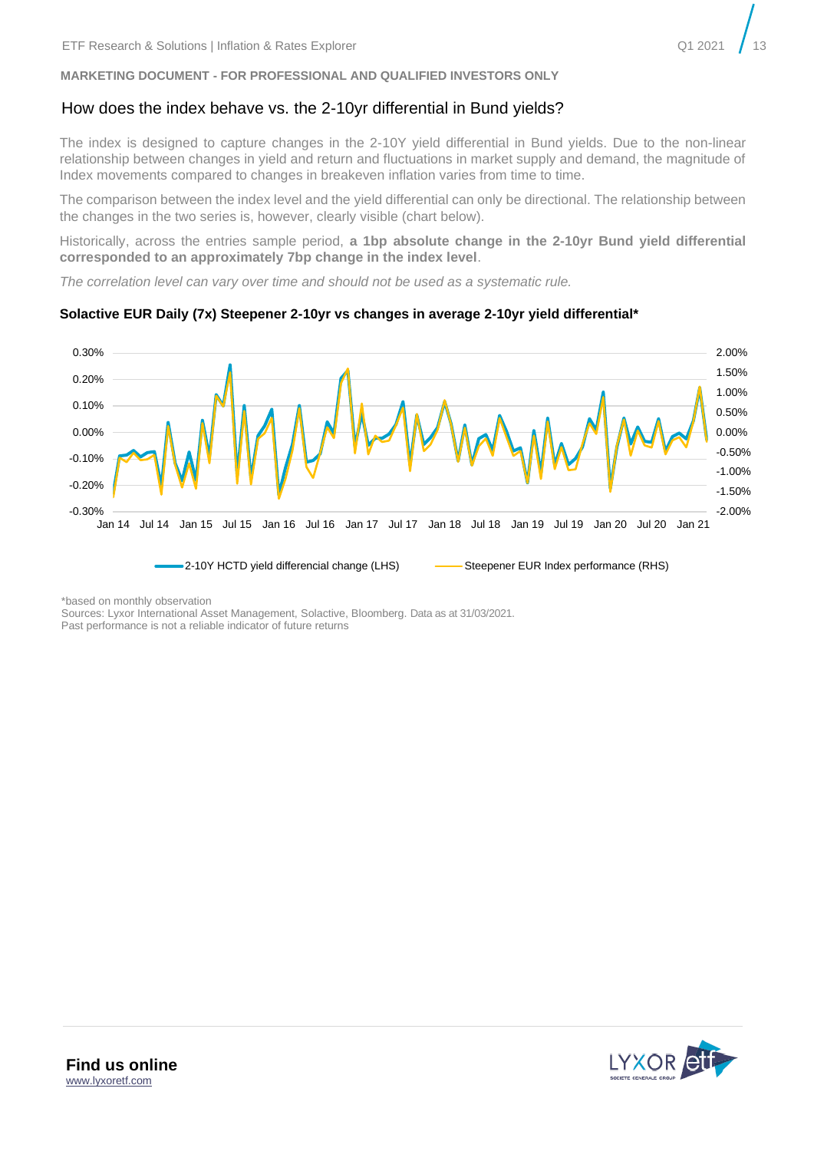#### How does the index behave vs. the 2-10yr differential in Bund yields?

The index is designed to capture changes in the 2-10Y yield differential in Bund yields. Due to the non-linear relationship between changes in yield and return and fluctuations in market supply and demand, the magnitude of Index movements compared to changes in breakeven inflation varies from time to time.

The comparison between the index level and the yield differential can only be directional. The relationship between the changes in the two series is, however, clearly visible (chart below).

Historically, across the entries sample period, **a 1bp absolute change in the 2-10yr Bund yield differential corresponded to an approximately 7bp change in the index level**.

*The correlation level can vary over time and should not be used as a systematic rule.* 

#### **Solactive EUR Daily (7x) Steepener 2-10yr vs changes in average 2-10yr yield differential\***



\*based on monthly observation

Sources: Lyxor International Asset Management, Solactive, Bloomberg. Data as at 31/03/2021. Past performance is not a reliable indicator of future returns

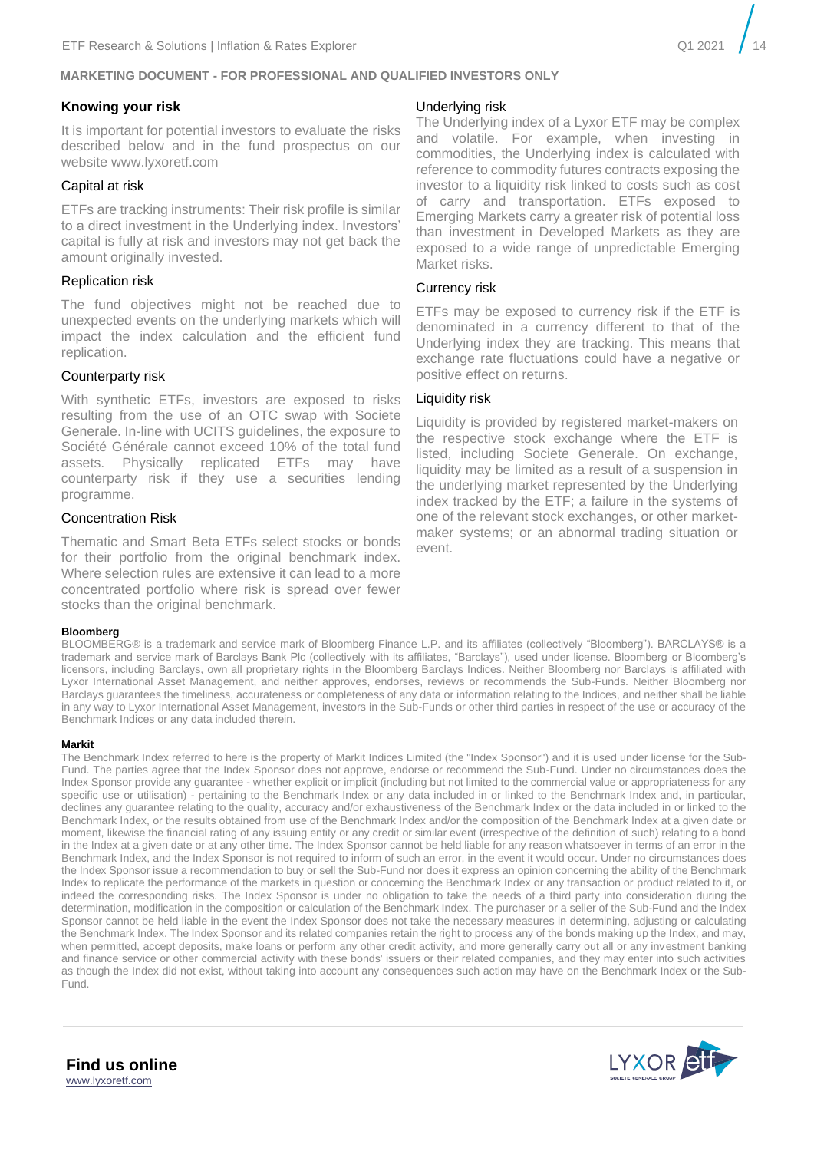#### **Knowing your risk**

It is important for potential investors to evaluate the risks described below and in the fund prospectus on our website www.lyxoretf.com

#### Capital at risk

ETFs are tracking instruments: Their risk profile is similar to a direct investment in the Underlying index. Investors' capital is fully at risk and investors may not get back the amount originally invested.

#### Replication risk

The fund objectives might not be reached due to unexpected events on the underlying markets which will impact the index calculation and the efficient fund replication.

#### Counterparty risk

With synthetic ETFs, investors are exposed to risks resulting from the use of an OTC swap with Societe Generale. In-line with UCITS guidelines, the exposure to Société Générale cannot exceed 10% of the total fund assets. Physically replicated ETFs may have counterparty risk if they use a securities lending programme.

#### Concentration Risk

Thematic and Smart Beta ETFs select stocks or bonds for their portfolio from the original benchmark index. Where selection rules are extensive it can lead to a more concentrated portfolio where risk is spread over fewer stocks than the original benchmark.

#### **Bloomberg**

#### BLOOMBERG® is a trademark and service mark of Bloomberg Finance L.P. and its affiliates (collectively "Bloomberg"). BARCLAYS® is a trademark and service mark of Barclays Bank Plc (collectively with its affiliates, "Barclays"), used under license. Bloomberg or Bloomberg's licensors, including Barclays, own all proprietary rights in the Bloomberg Barclays Indices. Neither Bloomberg nor Barclays is affiliated with Lyxor International Asset Management, and neither approves, endorses, reviews or recommends the Sub-Funds. Neither Bloomberg nor Barclays guarantees the timeliness, accurateness or completeness of any data or information relating to the Indices, and neither shall be liable in any way to Lyxor International Asset Management, investors in the Sub-Funds or other third parties in respect of the use or accuracy of the Benchmark Indices or any data included therein.

#### **Markit**

The Benchmark Index referred to here is the property of Markit Indices Limited (the "Index Sponsor") and it is used under license for the Sub-Fund. The parties agree that the Index Sponsor does not approve, endorse or recommend the Sub-Fund. Under no circumstances does the Index Sponsor provide any guarantee - whether explicit or implicit (including but not limited to the commercial value or appropriateness for any specific use or utilisation) - pertaining to the Benchmark Index or any data included in or linked to the Benchmark Index and, in particular, declines any guarantee relating to the quality, accuracy and/or exhaustiveness of the Benchmark Index or the data included in or linked to the Benchmark Index, or the results obtained from use of the Benchmark Index and/or the composition of the Benchmark Index at a given date or moment, likewise the financial rating of any issuing entity or any credit or similar event (irrespective of the definition of such) relating to a bond in the Index at a given date or at any other time. The Index Sponsor cannot be held liable for any reason whatsoever in terms of an error in the Benchmark Index, and the Index Sponsor is not required to inform of such an error, in the event it would occur. Under no circumstances does the Index Sponsor issue a recommendation to buy or sell the Sub-Fund nor does it express an opinion concerning the ability of the Benchmark Index to replicate the performance of the markets in question or concerning the Benchmark Index or any transaction or product related to it, or indeed the corresponding risks. The Index Sponsor is under no obligation to take the needs of a third party into consideration during the determination, modification in the composition or calculation of the Benchmark Index. The purchaser or a seller of the Sub-Fund and the Index Sponsor cannot be held liable in the event the Index Sponsor does not take the necessary measures in determining, adjusting or calculating the Benchmark Index. The Index Sponsor and its related companies retain the right to process any of the bonds making up the Index, and may, when permitted, accept deposits, make loans or perform any other credit activity, and more generally carry out all or any investment banking and finance service or other commercial activity with these bonds' issuers or their related companies, and they may enter into such activities as though the Index did not exist, without taking into account any consequences such action may have on the Benchmark Index or the Sub-Fund.

#### Underlying risk

The Underlying index of a Lyxor ETF may be complex and volatile. For example, when investing in commodities, the Underlying index is calculated with reference to commodity futures contracts exposing the investor to a liquidity risk linked to costs such as cost of carry and transportation. ETFs exposed to Emerging Markets carry a greater risk of potential loss than investment in Developed Markets as they are exposed to a wide range of unpredictable Emerging Market risks.

#### Currency risk

ETFs may be exposed to currency risk if the ETF is denominated in a currency different to that of the Underlying index they are tracking. This means that exchange rate fluctuations could have a negative or positive effect on returns.

#### Liquidity risk

Liquidity is provided by registered market-makers on the respective stock exchange where the ETF is listed, including Societe Generale. On exchange, liquidity may be limited as a result of a suspension in the underlying market represented by the Underlying index tracked by the ETF; a failure in the systems of one of the relevant stock exchanges, or other marketmaker systems; or an abnormal trading situation or event.



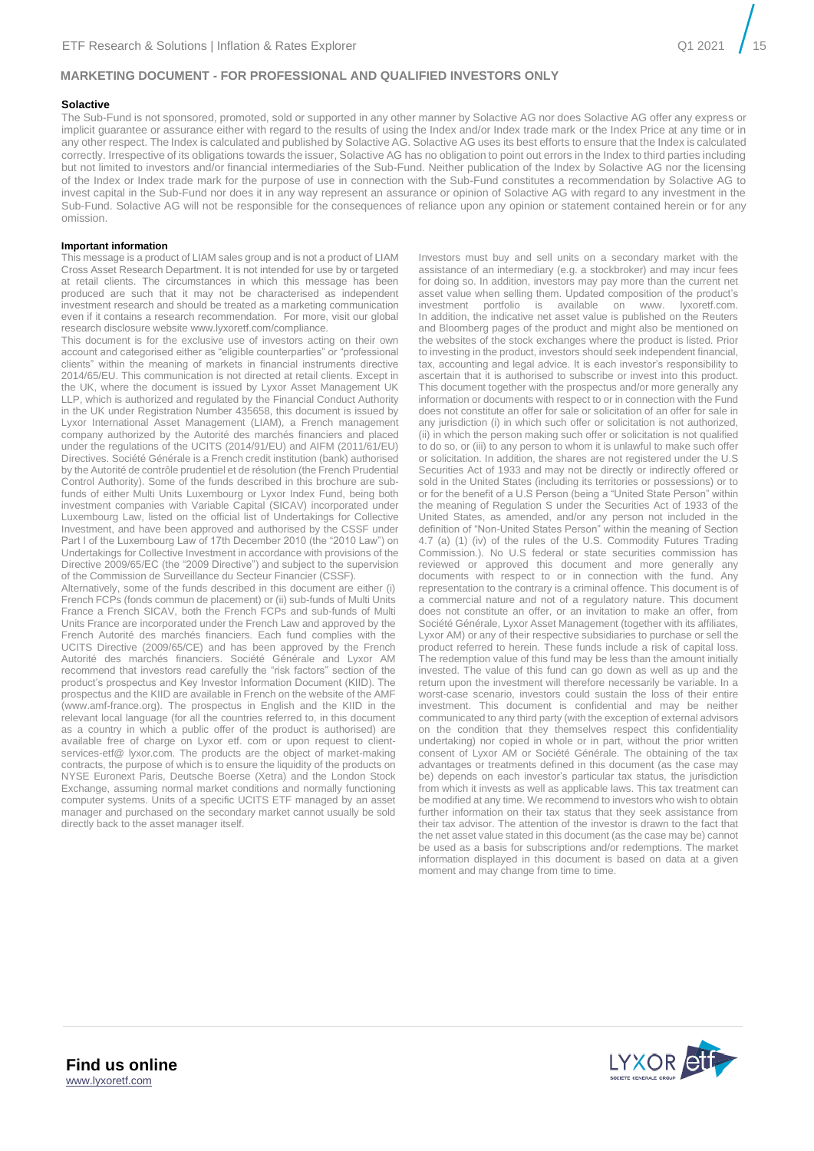#### **Solactive**

The Sub-Fund is not sponsored, promoted, sold or supported in any other manner by Solactive AG nor does Solactive AG offer any express or implicit guarantee or assurance either with regard to the results of using the Index and/or Index trade mark or the Index Price at any time or in any other respect. The Index is calculated and published by Solactive AG. Solactive AG uses its best efforts to ensure that the Index is calculated correctly. Irrespective of its obligations towards the issuer, Solactive AG has no obligation to point out errors in the Index to third parties including but not limited to investors and/or financial intermediaries of the Sub-Fund. Neither publication of the Index by Solactive AG nor the licensing of the Index or Index trade mark for the purpose of use in connection with the Sub-Fund constitutes a recommendation by Solactive AG to invest capital in the Sub-Fund nor does it in any way represent an assurance or opinion of Solactive AG with regard to any investment in the Sub-Fund. Solactive AG will not be responsible for the consequences of reliance upon any opinion or statement contained herein or for any omission.

#### **Important information**

This message is a product of LIAM sales group and is not a product of LIAM Cross Asset Research Department. It is not intended for use by or targeted at retail clients. The circumstances in which this message has been produced are such that it may not be characterised as independent investment research and should be treated as a marketing communication even if it contains a research recommendation. For more, visit our global research disclosure website www.lyxoretf.com/compliance.

This document is for the exclusive use of investors acting on their own account and categorised either as "eligible counterparties" or "professional clients" within the meaning of markets in financial instruments directive 2014/65/EU. This communication is not directed at retail clients. Except in the UK, where the document is issued by Lyxor Asset Management UK LLP, which is authorized and regulated by the Financial Conduct Authority in the UK under Registration Number 435658, this document is issued by Lyxor International Asset Management (LIAM), a French management company authorized by the Autorité des marchés financiers and placed under the regulations of the UCITS (2014/91/EU) and AIFM (2011/61/EU) Directives. Société Générale is a French credit institution (bank) authorised by the Autorité de contrôle prudentiel et de résolution (the French Prudential Control Authority). Some of the funds described in this brochure are subfunds of either Multi Units Luxembourg or Lyxor Index Fund, being both investment companies with Variable Capital (SICAV) incorporated under Luxembourg Law, listed on the official list of Undertakings for Collective Investment, and have been approved and authorised by the CSSF under Part I of the Luxembourg Law of 17th December 2010 (the "2010 Law") on Undertakings for Collective Investment in accordance with provisions of the Directive 2009/65/EC (the "2009 Directive") and subject to the supervision of the Commission de Surveillance du Secteur Financier (CSSF).

Alternatively, some of the funds described in this document are either (i) French FCPs (fonds commun de placement) or (ii) sub-funds of Multi Units France a French SICAV, both the French FCPs and sub-funds of Multi Units France are incorporated under the French Law and approved by the French Autorité des marchés financiers. Each fund complies with the UCITS Directive (2009/65/CE) and has been approved by the French Autorité des marchés financiers. Société Générale and Lyxor AM recommend that investors read carefully the "risk factors" section of the product's prospectus and Key Investor Information Document (KIID). The prospectus and the KIID are available in French on the website of the AMF (www.amf-france.org). The prospectus in English and the KIID in the relevant local language (for all the countries referred to, in this document as a country in which a public offer of the product is authorised) are available free of charge on Lyxor etf. com or upon request to clientservices-etf@ lyxor.com. The products are the object of market-making contracts, the purpose of which is to ensure the liquidity of the products on NYSE Euronext Paris, Deutsche Boerse (Xetra) and the London Stock Exchange, assuming normal market conditions and normally functioning computer systems. Units of a specific UCITS ETF managed by an asset manager and purchased on the secondary market cannot usually be sold directly back to the asset manager itself.

Investors must buy and sell units on a secondary market with the assistance of an intermediary (e.g. a stockbroker) and may incur fees for doing so. In addition, investors may pay more than the current net asset value when selling them. Updated composition of the product's investment portfolio is available on www. lyxoretf.com. In addition, the indicative net asset value is published on the Reuters and Bloomberg pages of the product and might also be mentioned on the websites of the stock exchanges where the product is listed. Prior to investing in the product, investors should seek independent financial, tax, accounting and legal advice. It is each investor's responsibility to ascertain that it is authorised to subscribe or invest into this product. This document together with the prospectus and/or more generally any information or documents with respect to or in connection with the Fund does not constitute an offer for sale or solicitation of an offer for sale in any jurisdiction (i) in which such offer or solicitation is not authorized, (ii) in which the person making such offer or solicitation is not qualified to do so, or (iii) to any person to whom it is unlawful to make such offer or solicitation. In addition, the shares are not registered under the U.S Securities Act of 1933 and may not be directly or indirectly offered or sold in the United States (including its territories or possessions) or to or for the benefit of a U.S Person (being a "United State Person" within the meaning of Regulation S under the Securities Act of 1933 of the United States, as amended, and/or any person not included in the definition of "Non-United States Person" within the meaning of Section 4.7 (a) (1) (iv) of the rules of the U.S. Commodity Futures Trading Commission.). No U.S federal or state securities commission has reviewed or approved this document and more generally any documents with respect to or in connection with the fund. Any representation to the contrary is a criminal offence. This document is of a commercial nature and not of a regulatory nature. This document does not constitute an offer, or an invitation to make an offer, from Société Générale, Lyxor Asset Management (together with its affiliates, Lyxor AM) or any of their respective subsidiaries to purchase or sell the product referred to herein. These funds include a risk of capital loss. The redemption value of this fund may be less than the amount initially invested. The value of this fund can go down as well as up and the return upon the investment will therefore necessarily be variable. In a worst-case scenario, investors could sustain the loss of their entire investment. This document is confidential and may be neither communicated to any third party (with the exception of external advisors on the condition that they themselves respect this confidentiality undertaking) nor copied in whole or in part, without the prior written consent of Lyxor AM or Société Générale. The obtaining of the tax advantages or treatments defined in this document (as the case may be) depends on each investor's particular tax status, the jurisdiction from which it invests as well as applicable laws. This tax treatment can be modified at any time. We recommend to investors who wish to obtain further information on their tax status that they seek assistance from their tax advisor. The attention of the investor is drawn to the fact that the net asset value stated in this document (as the case may be) cannot be used as a basis for subscriptions and/or redemptions. The market information displayed in this document is based on data at a given moment and may change from time to time.